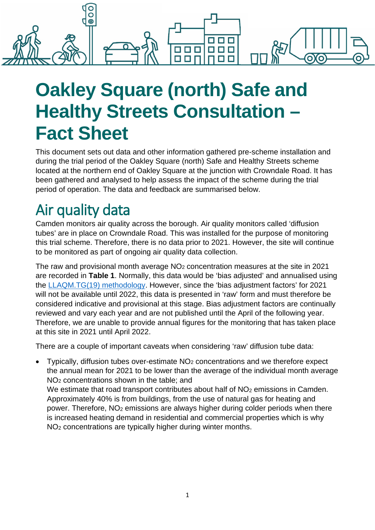

# **Oakley Square (north) Safe and Healthy Streets Consultation – Fact Sheet**

This document sets out data and other information gathered pre-scheme installation and during the trial period of the Oakley Square (north) Safe and Healthy Streets scheme located at the northern end of Oakley Square at the junction with Crowndale Road. It has been gathered and analysed to help assess the impact of the scheme during the trial period of operation. The data and feedback are summarised below.

# Air quality data

Camden monitors air quality across the borough. Air quality monitors called 'diffusion tubes' are in place on Crowndale Road. This was installed for the purpose of monitoring this trial scheme. Therefore, there is no data prior to 2021. However, the site will continue to be monitored as part of ongoing air quality data collection.

The raw and provisional month average  $NO<sub>2</sub>$  concentration measures at the site in 2021 are recorded in **Table 1**. Normally, this data would be 'bias adjusted' and annualised using the [LLAQM.TG\(19\) methodology.](https://www.london.gov.uk/sites/default/files/llaqm_technical_guidance_2019.pdf) However, since the 'bias adjustment factors' for 2021 will not be available until 2022, this data is presented in 'raw' form and must therefore be considered indicative and provisional at this stage. Bias adjustment factors are continually reviewed and vary each year and are not published until the April of the following year. Therefore, we are unable to provide annual figures for the monitoring that has taken place at this site in 2021 until April 2022.

There are a couple of important caveats when considering 'raw' diffusion tube data:

Typically, diffusion tubes over-estimate  $NO<sub>2</sub>$  concentrations and we therefore expect the annual mean for 2021 to be lower than the average of the individual month average NO2 concentrations shown in the table; and

We estimate that road transport contributes about half of NO<sub>2</sub> emissions in Camden. Approximately 40% is from buildings, from the use of natural gas for heating and power. Therefore, NO2 emissions are always higher during colder periods when there is increased heating demand in residential and commercial properties which is why NO2 concentrations are typically higher during winter months.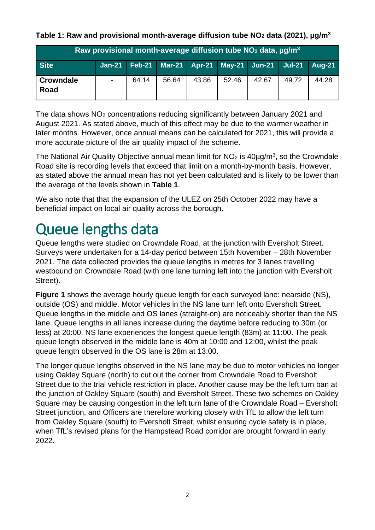**Table 1: Raw and provisional month-average diffusion tube NO2 data (2021), µg/m3**

| Raw provisional month-average diffusion tube $NO2$ data, $\mu$ g/m <sup>3</sup> |  |       |       |       |                                                                       |       |       |       |
|---------------------------------------------------------------------------------|--|-------|-------|-------|-----------------------------------------------------------------------|-------|-------|-------|
| <b>Site</b>                                                                     |  |       |       |       | Jan-21   Feb-21   Mar-21   Apr-21   May-21   Jun-21   Jul-21   Aug-21 |       |       |       |
| <b>Crowndale</b><br>Road                                                        |  | 64.14 | 56.64 | 43.86 | 52.46                                                                 | 42.67 | 49.72 | 44.28 |

The data shows NO2 concentrations reducing significantly between January 2021 and August 2021. As stated above, much of this effect may be due to the warmer weather in later months. However, once annual means can be calculated for 2021, this will provide a more accurate picture of the air quality impact of the scheme.

The National Air Quality Objective annual mean limit for  $NO<sub>2</sub>$  is 40ug/m<sup>3</sup>, so the Crowndale Road site is recording levels that exceed that limit on a month-by-month basis. However, as stated above the annual mean has not yet been calculated and is likely to be lower than the average of the levels shown in **Table 1**.

We also note that that the expansion of the ULEZ on 25th October 2022 may have a beneficial impact on local air quality across the borough.

# Queue lengths data

Queue lengths were studied on Crowndale Road, at the junction with Eversholt Street. Surveys were undertaken for a 14-day period between 15th November – 28th November 2021. The data collected provides the queue lengths in metres for 3 lanes travelling westbound on Crowndale Road (with one lane turning left into the junction with Eversholt Street).

**Figure 1** shows the average hourly queue length for each surveyed lane: nearside (NS). outside (OS) and middle. Motor vehicles in the NS lane turn left onto Eversholt Street. Queue lengths in the middle and OS lanes (straight-on) are noticeably shorter than the NS lane. Queue lengths in all lanes increase during the daytime before reducing to 30m (or less) at 20:00. NS lane experiences the longest queue length (83m) at 11:00. The peak queue length observed in the middle lane is 40m at 10:00 and 12:00, whilst the peak queue length observed in the OS lane is 28m at 13:00.

The longer queue lengths observed in the NS lane may be due to motor vehicles no longer using Oakley Square (north) to cut out the corner from Crowndale Road to Eversholt Street due to the trial vehicle restriction in place. Another cause may be the left turn ban at the junction of Oakley Square (south) and Eversholt Street. These two schemes on Oakley Square may be causing congestion in the left turn lane of the Crowndale Road – Eversholt Street junction, and Officers are therefore working closely with TfL to allow the left turn from Oakley Square (south) to Eversholt Street, whilst ensuring cycle safety is in place, when TfL's revised plans for the Hampstead Road corridor are brought forward in early 2022.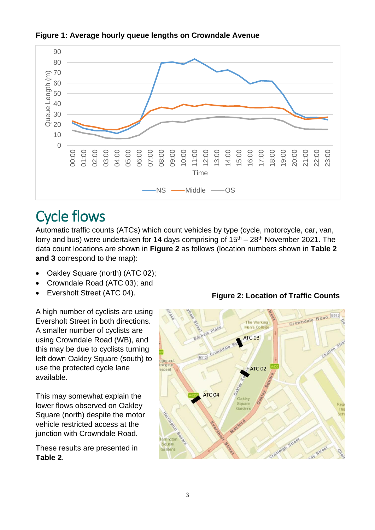

#### **Figure 1: Average hourly queue lengths on Crowndale Avenue**

# Cycle flows

Automatic traffic counts (ATCs) which count vehicles by type (cycle, motorcycle, car, van, lorry and bus) were undertaken for 14 days comprising of  $15<sup>th</sup> - 28<sup>th</sup>$  November 2021. The data count locations are shown in **Figure 2** as follows (location numbers shown in **Table 2 and 3** correspond to the map):

- Oakley Square (north) (ATC 02);
- Crowndale Road (ATC 03); and
- Eversholt Street (ATC 04).

A high number of cyclists are using Eversholt Street in both directions. A smaller number of cyclists are using Crowndale Road (WB), and this may be due to cyclists turning left down Oakley Square (south) to use the protected cycle lane available.

This may somewhat explain the lower flows observed on Oakley Square (north) despite the motor vehicle restricted access at the junction with Crowndale Road.

These results are presented in **Table 2**.

**Figure 2: Location of Traffic Counts** 

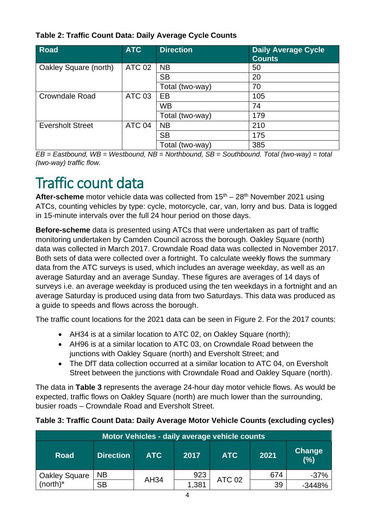|  | Table 2: Traffic Count Data: Daily Average Cycle Counts |
|--|---------------------------------------------------------|
|--|---------------------------------------------------------|

| <b>Road</b>             | <b>ATC</b>        | <b>Direction</b> | <b>Daily Average Cycle</b><br><b>Counts</b> |
|-------------------------|-------------------|------------------|---------------------------------------------|
| Oakley Square (north)   | <b>ATC 02</b>     | <b>NB</b>        | 50                                          |
|                         |                   | <b>SB</b>        | 20                                          |
|                         |                   | Total (two-way)  | 70                                          |
| <b>Crowndale Road</b>   | <b>ATC 03</b>     | EB               | 105                                         |
|                         |                   | <b>WB</b>        | 74                                          |
|                         |                   | Total (two-way)  | 179                                         |
| <b>Eversholt Street</b> | ATC <sub>04</sub> | <b>NB</b>        | 210                                         |
|                         |                   | <b>SB</b>        | 175                                         |
|                         |                   | Total (two-way)  | 385                                         |

*EB = Eastbound, WB = Westbound, NB = Northbound, SB = Southbound. Total (two-way) = total (two-way) traffic flow.*

# Traffic count data

**After-scheme** motor vehicle data was collected from 15<sup>th</sup> – 28<sup>th</sup> November 2021 using ATCs, counting vehicles by type: cycle, motorcycle, car, van, lorry and bus. Data is logged in 15-minute intervals over the full 24 hour period on those days.

**Before-scheme** data is presented using ATCs that were undertaken as part of traffic monitoring undertaken by Camden Council across the borough. Oakley Square (north) data was collected in March 2017. Crowndale Road data was collected in November 2017. Both sets of data were collected over a fortnight. To calculate weekly flows the summary data from the ATC surveys is used, which includes an average weekday, as well as an average Saturday and an average Sunday. These figures are averages of 14 days of surveys i.e. an average weekday is produced using the ten weekdays in a fortnight and an average Saturday is produced using data from two Saturdays. This data was produced as a guide to speeds and flows across the borough.

The traffic count locations for the 2021 data can be seen in Figure 2. For the 2017 counts:

- AH34 is at a similar location to ATC 02, on Oakley Square (north);
- AH96 is at a similar location to ATC 03, on Crowndale Road between the junctions with Oakley Square (north) and Eversholt Street; and
- The DfT data collection occurred at a similar location to ATC 04, on Eversholt Street between the junctions with Crowndale Road and Oakley Square (north).

The data in **Table 3** represents the average 24-hour day motor vehicle flows. As would be expected, traffic flows on Oakley Square (north) are much lower than the surrounding, busier roads – Crowndale Road and Eversholt Street.

| Motor Vehicles - daily average vehicle counts |                  |            |       |               |      |                      |
|-----------------------------------------------|------------------|------------|-------|---------------|------|----------------------|
| <b>Road</b>                                   | <b>Direction</b> | <b>ATC</b> | 2017  | <b>ATC</b>    | 2021 | <b>Change</b><br>(%) |
| Oakley Square<br>(north)*                     | <b>NB</b>        |            | 923   | <b>ATC 02</b> | 674  | $-37%$               |
|                                               | <b>SB</b>        | AH34       | 1,381 |               | 39   | $-3448%$             |

#### **Table 3: Traffic Count Data: Daily Average Motor Vehicle Counts (excluding cycles)**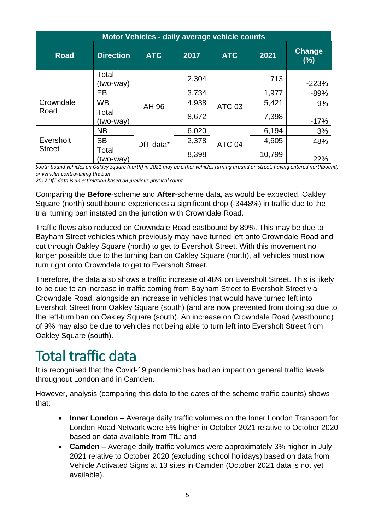| Motor Vehicles - daily average vehicle counts |                    |            |       |               |        |               |
|-----------------------------------------------|--------------------|------------|-------|---------------|--------|---------------|
| <b>Road</b>                                   | <b>Direction</b>   | <b>ATC</b> | 2017  | <b>ATC</b>    | 2021   | Change<br>(%) |
|                                               | Total<br>(two-way) |            | 2,304 |               | 713    | $-223%$       |
| Crowndale<br>Road                             | EB                 | AH 96      | 3,734 | <b>ATC 03</b> | 1,977  | $-89%$        |
|                                               | <b>WB</b>          |            | 4,938 |               | 5,421  | 9%            |
|                                               | Total<br>(two-way) |            | 8,672 |               | 7,398  | $-17%$        |
| Eversholt<br><b>Street</b>                    | <b>NB</b>          | DfT data*  | 6,020 | <b>ATC 04</b> | 6,194  | 3%            |
|                                               | <b>SB</b>          |            | 2,378 |               | 4,605  | 48%           |
|                                               | Total<br>(two-way) |            | 8,398 |               | 10,799 | 22%           |

*South-bound vehicles on Oakley Square (north) in 2021 may be either vehicles turning around on street, having entered northbound, or vehicles contravening the ban*

*2017 DfT data is an estimation based on previous physical count.* 

Comparing the **Before**-scheme and **After**-scheme data, as would be expected, Oakley Square (north) southbound experiences a significant drop (-3448%) in traffic due to the trial turning ban instated on the junction with Crowndale Road.

Traffic flows also reduced on Crowndale Road eastbound by 89%. This may be due to Bayham Street vehicles which previously may have turned left onto Crowndale Road and cut through Oakley Square (north) to get to Eversholt Street. With this movement no longer possible due to the turning ban on Oakley Square (north), all vehicles must now turn right onto Crowndale to get to Eversholt Street.

Therefore, the data also shows a traffic increase of 48% on Eversholt Street. This is likely to be due to an increase in traffic coming from Bayham Street to Eversholt Street via Crowndale Road, alongside an increase in vehicles that would have turned left into Eversholt Street from Oakley Square (south) (and are now prevented from doing so due to the left-turn ban on Oakley Square (south). An increase on Crowndale Road (westbound) of 9% may also be due to vehicles not being able to turn left into Eversholt Street from Oakley Square (south).

### Total traffic data

It is recognised that the Covid-19 pandemic has had an impact on general traffic levels throughout London and in Camden.

However, analysis (comparing this data to the dates of the scheme traffic counts) shows that:

- **Inner London** Average daily traffic volumes on the Inner London Transport for London Road Network were 5% higher in October 2021 relative to October 2020 based on data available from TfL; and
- **Camden** Average daily traffic volumes were approximately 3% higher in July 2021 relative to October 2020 (excluding school holidays) based on data from Vehicle Activated Signs at 13 sites in Camden (October 2021 data is not yet available).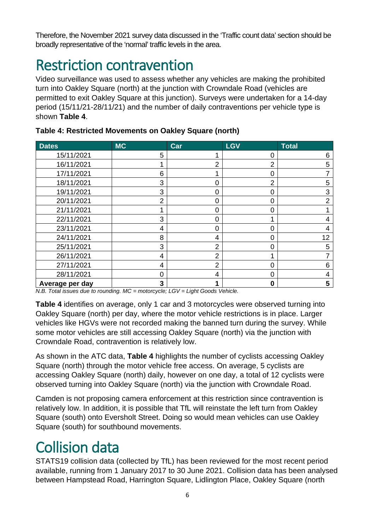Therefore, the November 2021 survey data discussed in the 'Traffic count data' section should be broadly representative of the 'normal' traffic levels in the area.

### Restriction contravention

Video surveillance was used to assess whether any vehicles are making the prohibited turn into Oakley Square (north) at the junction with Crowndale Road (vehicles are permitted to exit Oakley Square at this junction). Surveys were undertaken for a 14-day period (15/11/21-28/11/21) and the number of daily contraventions per vehicle type is shown **Table 4**.

| <b>Dates</b>    | <b>MC</b>      | Car            | <b>LGV</b>     | Total          |
|-----------------|----------------|----------------|----------------|----------------|
| 15/11/2021      | 5              |                | 0              | 6              |
| 16/11/2021      |                | $\overline{2}$ | $\overline{2}$ | 5              |
| 17/11/2021      | 6              |                | 0              |                |
| 18/11/2021      | 3              | 0              | $\overline{2}$ | 5              |
| 19/11/2021      | 3              | 0              | 0              | 3              |
| 20/11/2021      | $\overline{2}$ | 0              | 0              | $\overline{2}$ |
| 21/11/2021      |                | 0              | Ω              |                |
| 22/11/2021      | 3              | 0              |                | 4              |
| 23/11/2021      | 4              | 0              | O              | 4              |
| 24/11/2021      | 8              | 4              | 0              | 12             |
| 25/11/2021      | 3              | 2              | 0              | 5              |
| 26/11/2021      | 4              | 2              |                |                |
| 27/11/2021      | 4              | $\overline{2}$ | Ω              | 6              |
| 28/11/2021      | $\Omega$       | 4              | 0              | 4              |
| Average per day | 3              |                | ი              | 5              |

#### **Table 4: Restricted Movements on Oakley Square (north)**

*N.B. Total issues due to rounding. MC = motorcycle; LGV = Light Goods Vehicle.*

**Table 4** identifies on average, only 1 car and 3 motorcycles were observed turning into Oakley Square (north) per day, where the motor vehicle restrictions is in place. Larger vehicles like HGVs were not recorded making the banned turn during the survey. While some motor vehicles are still accessing Oakley Square (north) via the junction with Crowndale Road, contravention is relatively low.

As shown in the ATC data, **Table 4** highlights the number of cyclists accessing Oakley Square (north) through the motor vehicle free access. On average, 5 cyclists are accessing Oakley Square (north) daily, however on one day, a total of 12 cyclists were observed turning into Oakley Square (north) via the junction with Crowndale Road.

Camden is not proposing camera enforcement at this restriction since contravention is relatively low. In addition, it is possible that TfL will reinstate the left turn from Oakley Square (south) onto Eversholt Street. Doing so would mean vehicles can use Oakley Square (south) for southbound movements.

# Collision data

STATS19 collision data (collected by TfL) has been reviewed for the most recent period available, running from 1 January 2017 to 30 June 2021. Collision data has been analysed between Hampstead Road, Harrington Square, Lidlington Place, Oakley Square (north